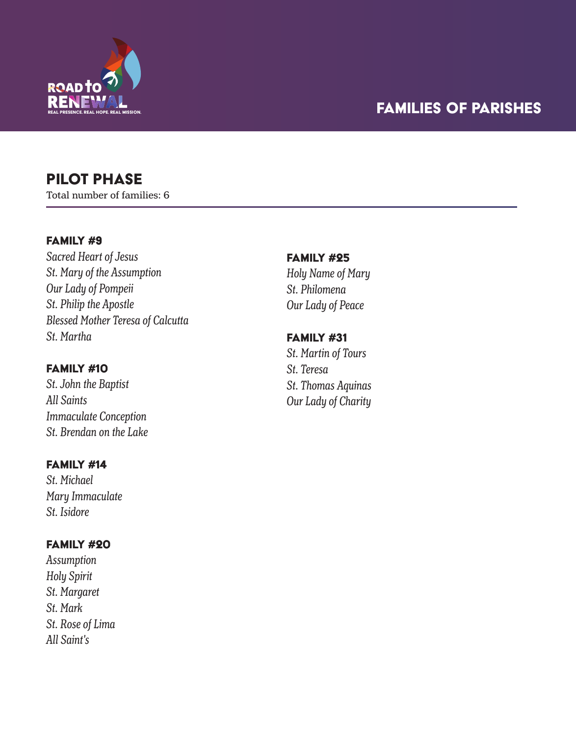

# PILOT PHASE

Total number of families: 6

## FAMILY #9

*Sacred Heart of Jesus St. Mary of the Assumption Our Lady of Pompeii St. Philip the Apostle Blessed Mother Teresa of Calcutta St. Martha*

## Family #10

*St. John the Baptist All Saints Immaculate Conception St. Brendan on the Lake*

## FAMILY #14

*St. Michael Mary Immaculate St. Isidore*

# Family #20

*Assumption Holy Spirit St. Margaret St. Mark St. Rose of Lima All Saint's*

## FAMILY #25 *Holy Name of Mary*

*St. Philomena Our Lady of Peace*

# Family #31

*St. Martin of Tours St. Teresa St. Thomas Aquinas Our Lady of Charity*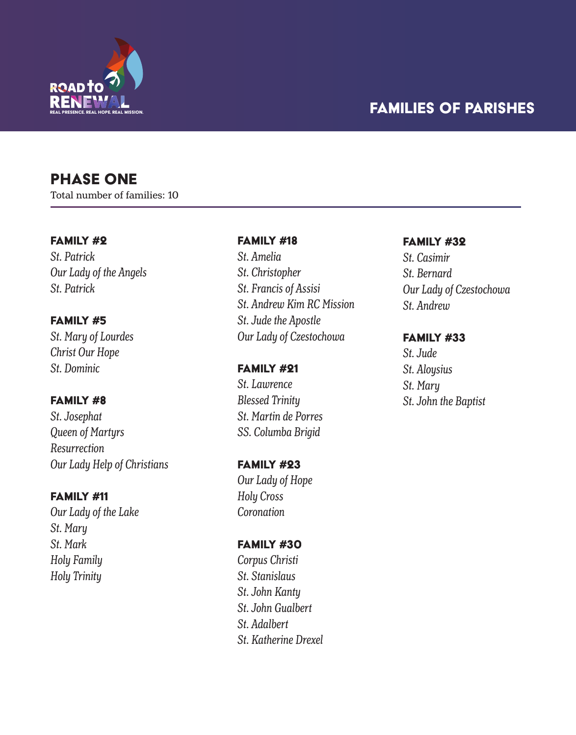

# **PHASE ONE**

Total number of families: 10

#### Family #2

*St. Patrick Our Lady of the Angels St. Patrick* 

#### Family #5

*St. Mary of Lourdes Christ Our Hope St. Dominic*

### Family #8

*St. Josephat Queen of Martyrs Resurrection Our Lady Help of Christians* 

### Family #11

*Our Lady of the Lake St. Mary St. Mark Holy Family Holy Trinity*

### FAMILY #18

*St. Amelia St. Christopher St. Francis of Assisi St. Andrew Kim RC Mission St. Jude the Apostle Our Lady of Czestochowa*

Family #21 *St. Lawrence Blessed Trinity St. Martin de Porres SS. Columba Brigid*

Family #23 *Our Lady of Hope Holy Cross Coronation*

#### Family #30

*Corpus Christi St. Stanislaus St. John Kanty St. John Gualbert St. Adalbert St. Katherine Drexel*

#### Family #32

*St. Casimir St. Bernard Our Lady of Czestochowa St. Andrew*

### Family #33

*St. Jude St. Aloysius St. Mary St. John the Baptist*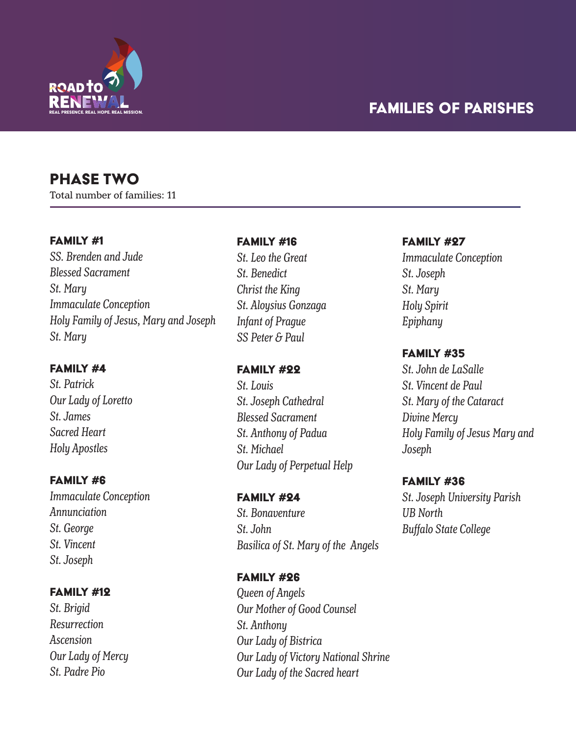

# Phase two

Total number of families: 11

### Family #1

*SS. Brenden and Jude Blessed Sacrament St. Mary Immaculate Conception Holy Family of Jesus, Mary and Joseph St. Mary*

#### Family #4

*St. Patrick Our Lady of Loretto St. James Sacred Heart Holy Apostles*

#### Family #6

*Immaculate Conception Annunciation St. George St. Vincent St. Joseph*

## Family #12

*St. Brigid Resurrection Ascension Our Lady of Mercy St. Padre Pio*

## FAMILY #16

*St. Leo the Great St. Benedict Christ the King St. Aloysius Gonzaga Infant of Prague SS Peter & Paul*

### Family #22

*St. Louis St. Joseph Cathedral Blessed Sacrament St. Anthony of Padua St. Michael Our Lady of Perpetual Help*

# Family #24 *St. Bonaventure St. John Basilica of St. Mary of the Angels*

# Family #26 *Queen of Angels Our Mother of Good Counsel St. Anthony Our Lady of Bistrica Our Lady of Victory National Shrine Our Lady of the Sacred heart*

#### FAMILY #27

*Immaculate Conception St. Joseph St. Mary Holy Spirit Epiphany*

### FAMILY #35

*St. John de LaSalle St. Vincent de Paul St. Mary of the Cataract Divine Mercy Holy Family of Jesus Mary and Joseph*

#### Family #36

*St. Joseph University Parish UB North Buffalo State College*